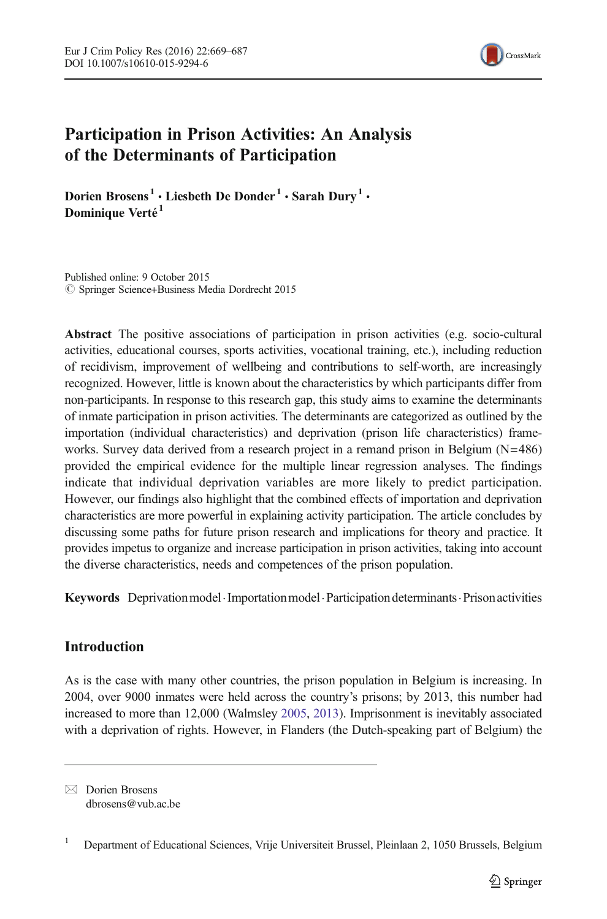

# Participation in Prison Activities: An Analysis of the Determinants of Participation

Dorien Brosens<sup>1</sup> • Liesbeth De Donder<sup>1</sup> • Sarah Dury<sup>1</sup> • Dominique Verté<sup>1</sup>

Published online: 9 October 2015 **C** Springer Science+Business Media Dordrecht 2015

Abstract The positive associations of participation in prison activities (e.g. socio-cultural activities, educational courses, sports activities, vocational training, etc.), including reduction of recidivism, improvement of wellbeing and contributions to self-worth, are increasingly recognized. However, little is known about the characteristics by which participants differ from non-participants. In response to this research gap, this study aims to examine the determinants of inmate participation in prison activities. The determinants are categorized as outlined by the importation (individual characteristics) and deprivation (prison life characteristics) frameworks. Survey data derived from a research project in a remand prison in Belgium (N=486) provided the empirical evidence for the multiple linear regression analyses. The findings indicate that individual deprivation variables are more likely to predict participation. However, our findings also highlight that the combined effects of importation and deprivation characteristics are more powerful in explaining activity participation. The article concludes by discussing some paths for future prison research and implications for theory and practice. It provides impetus to organize and increase participation in prison activities, taking into account the diverse characteristics, needs and competences of the prison population.

Keywords Deprivation model Importation model Participation determinants Prison activities

# **Introduction**

As is the case with many other countries, the prison population in Belgium is increasing. In 2004, over 9000 inmates were held across the country's prisons; by 2013, this number had increased to more than 12,000 (Walmsley [2005](#page-18-0), [2013](#page-18-0)). Imprisonment is inevitably associated with a deprivation of rights. However, in Flanders (the Dutch-speaking part of Belgium) the

 $\boxtimes$  Dorien Brosens dbrosens@vub.ac.be

<sup>&</sup>lt;sup>1</sup> Department of Educational Sciences, Vrije Universiteit Brussel, Pleinlaan 2, 1050 Brussels, Belgium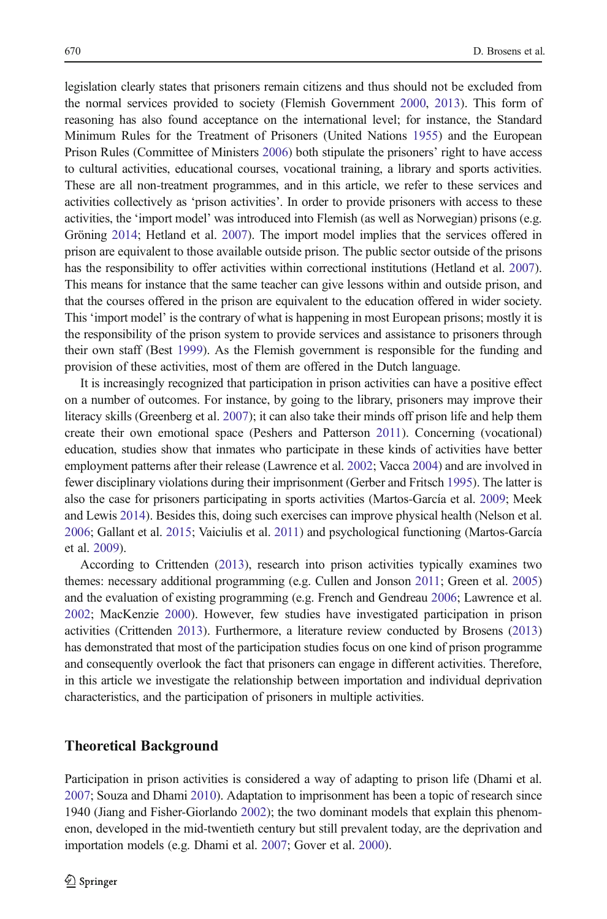legislation clearly states that prisoners remain citizens and thus should not be excluded from the normal services provided to society (Flemish Government [2000](#page-16-0), [2013](#page-16-0)). This form of reasoning has also found acceptance on the international level; for instance, the Standard Minimum Rules for the Treatment of Prisoners (United Nations [1955](#page-18-0)) and the European Prison Rules (Committee of Ministers [2006\)](#page-15-0) both stipulate the prisoners' right to have access to cultural activities, educational courses, vocational training, a library and sports activities. These are all non-treatment programmes, and in this article, we refer to these services and activities collectively as 'prison activities'. In order to provide prisoners with access to these activities, the 'import model' was introduced into Flemish (as well as Norwegian) prisons (e.g. Gröning [2014;](#page-16-0) Hetland et al. [2007](#page-16-0)). The import model implies that the services offered in prison are equivalent to those available outside prison. The public sector outside of the prisons has the responsibility to offer activities within correctional institutions (Hetland et al. [2007](#page-16-0)). This means for instance that the same teacher can give lessons within and outside prison, and that the courses offered in the prison are equivalent to the education offered in wider society. This 'import model' is the contrary of what is happening in most European prisons; mostly it is the responsibility of the prison system to provide services and assistance to prisoners through their own staff (Best [1999\)](#page-15-0). As the Flemish government is responsible for the funding and provision of these activities, most of them are offered in the Dutch language.

It is increasingly recognized that participation in prison activities can have a positive effect on a number of outcomes. For instance, by going to the library, prisoners may improve their literacy skills (Greenberg et al. [2007\)](#page-16-0); it can also take their minds off prison life and help them create their own emotional space (Peshers and Patterson [2011\)](#page-17-0). Concerning (vocational) education, studies show that inmates who participate in these kinds of activities have better employment patterns after their release (Lawrence et al. [2002](#page-17-0); Vacca [2004](#page-18-0)) and are involved in fewer disciplinary violations during their imprisonment (Gerber and Fritsch [1995](#page-16-0)). The latter is also the case for prisoners participating in sports activities (Martos-García et al. [2009](#page-17-0); Meek and Lewis [2014](#page-17-0)). Besides this, doing such exercises can improve physical health (Nelson et al. [2006](#page-17-0); Gallant et al. [2015;](#page-16-0) Vaiciulis et al. [2011\)](#page-18-0) and psychological functioning (Martos-García et al. [2009](#page-17-0)).

According to Crittenden [\(2013\)](#page-16-0), research into prison activities typically examines two themes: necessary additional programming (e.g. Cullen and Jonson [2011;](#page-16-0) Green et al. [2005\)](#page-16-0) and the evaluation of existing programming (e.g. French and Gendreau [2006;](#page-16-0) Lawrence et al. [2002](#page-17-0); MacKenzie [2000](#page-17-0)). However, few studies have investigated participation in prison activities (Crittenden [2013\)](#page-16-0). Furthermore, a literature review conducted by Brosens [\(2013\)](#page-15-0) has demonstrated that most of the participation studies focus on one kind of prison programme and consequently overlook the fact that prisoners can engage in different activities. Therefore, in this article we investigate the relationship between importation and individual deprivation characteristics, and the participation of prisoners in multiple activities.

### Theoretical Background

Participation in prison activities is considered a way of adapting to prison life (Dhami et al. [2007](#page-16-0); Souza and Dhami [2010\)](#page-18-0). Adaptation to imprisonment has been a topic of research since 1940 (Jiang and Fisher-Giorlando [2002\)](#page-17-0); the two dominant models that explain this phenomenon, developed in the mid-twentieth century but still prevalent today, are the deprivation and importation models (e.g. Dhami et al. [2007;](#page-16-0) Gover et al. [2000](#page-16-0)).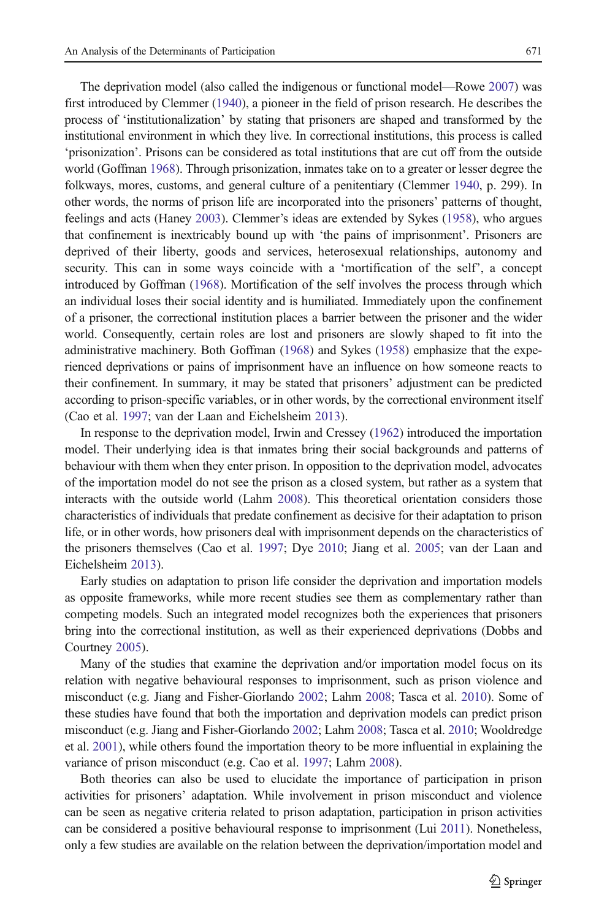The deprivation model (also called the indigenous or functional model—Rowe [2007](#page-17-0)) was first introduced by Clemmer ([1940](#page-15-0)), a pioneer in the field of prison research. He describes the process of 'institutionalization' by stating that prisoners are shaped and transformed by the institutional environment in which they live. In correctional institutions, this process is called 'prisonization'. Prisons can be considered as total institutions that are cut off from the outside world (Goffman [1968](#page-16-0)). Through prisonization, inmates take on to a greater or lesser degree the folkways, mores, customs, and general culture of a penitentiary (Clemmer [1940](#page-15-0), p. 299). In other words, the norms of prison life are incorporated into the prisoners' patterns of thought, feelings and acts (Haney [2003](#page-16-0)). Clemmer's ideas are extended by Sykes [\(1958\)](#page-18-0), who argues that confinement is inextricably bound up with 'the pains of imprisonment'. Prisoners are deprived of their liberty, goods and services, heterosexual relationships, autonomy and security. This can in some ways coincide with a 'mortification of the self', a concept introduced by Goffman [\(1968\)](#page-16-0). Mortification of the self involves the process through which an individual loses their social identity and is humiliated. Immediately upon the confinement of a prisoner, the correctional institution places a barrier between the prisoner and the wider world. Consequently, certain roles are lost and prisoners are slowly shaped to fit into the administrative machinery. Both Goffman ([1968](#page-16-0)) and Sykes ([1958](#page-18-0)) emphasize that the experienced deprivations or pains of imprisonment have an influence on how someone reacts to their confinement. In summary, it may be stated that prisoners' adjustment can be predicted according to prison-specific variables, or in other words, by the correctional environment itself (Cao et al. [1997;](#page-15-0) van der Laan and Eichelsheim [2013\)](#page-18-0).

In response to the deprivation model, Irwin and Cressey ([1962](#page-17-0)) introduced the importation model. Their underlying idea is that inmates bring their social backgrounds and patterns of behaviour with them when they enter prison. In opposition to the deprivation model, advocates of the importation model do not see the prison as a closed system, but rather as a system that interacts with the outside world (Lahm [2008\)](#page-17-0). This theoretical orientation considers those characteristics of individuals that predate confinement as decisive for their adaptation to prison life, or in other words, how prisoners deal with imprisonment depends on the characteristics of the prisoners themselves (Cao et al. [1997](#page-15-0); Dye [2010;](#page-16-0) Jiang et al. [2005](#page-17-0); van der Laan and Eichelsheim [2013](#page-18-0)).

Early studies on adaptation to prison life consider the deprivation and importation models as opposite frameworks, while more recent studies see them as complementary rather than competing models. Such an integrated model recognizes both the experiences that prisoners bring into the correctional institution, as well as their experienced deprivations (Dobbs and Courtney [2005](#page-16-0)).

Many of the studies that examine the deprivation and/or importation model focus on its relation with negative behavioural responses to imprisonment, such as prison violence and misconduct (e.g. Jiang and Fisher-Giorlando [2002;](#page-17-0) Lahm [2008](#page-17-0); Tasca et al. [2010\)](#page-18-0). Some of these studies have found that both the importation and deprivation models can predict prison misconduct (e.g. Jiang and Fisher-Giorlando [2002](#page-17-0); Lahm [2008](#page-17-0); Tasca et al. [2010](#page-18-0); Wooldredge et al. [2001](#page-18-0)), while others found the importation theory to be more influential in explaining the variance of prison misconduct (e.g. Cao et al. [1997;](#page-15-0) Lahm [2008\)](#page-17-0).

Both theories can also be used to elucidate the importance of participation in prison activities for prisoners' adaptation. While involvement in prison misconduct and violence can be seen as negative criteria related to prison adaptation, participation in prison activities can be considered a positive behavioural response to imprisonment (Lui [2011](#page-17-0)). Nonetheless, only a few studies are available on the relation between the deprivation/importation model and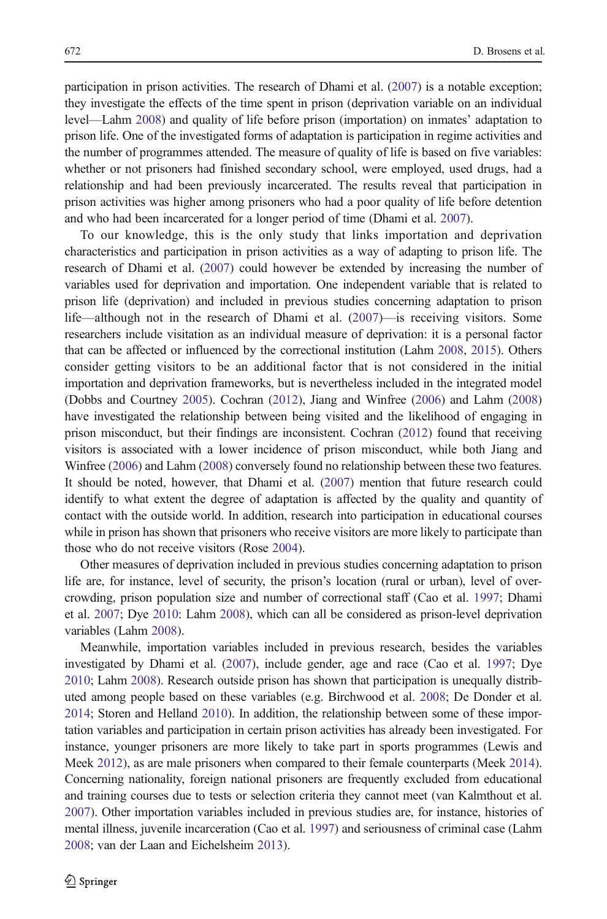participation in prison activities. The research of Dhami et al. ([2007](#page-16-0)) is a notable exception; they investigate the effects of the time spent in prison (deprivation variable on an individual level—Lahm [2008\)](#page-17-0) and quality of life before prison (importation) on inmates' adaptation to prison life. One of the investigated forms of adaptation is participation in regime activities and the number of programmes attended. The measure of quality of life is based on five variables: whether or not prisoners had finished secondary school, were employed, used drugs, had a relationship and had been previously incarcerated. The results reveal that participation in prison activities was higher among prisoners who had a poor quality of life before detention and who had been incarcerated for a longer period of time (Dhami et al. [2007\)](#page-16-0).

To our knowledge, this is the only study that links importation and deprivation characteristics and participation in prison activities as a way of adapting to prison life. The research of Dhami et al. ([2007](#page-16-0)) could however be extended by increasing the number of variables used for deprivation and importation. One independent variable that is related to prison life (deprivation) and included in previous studies concerning adaptation to prison life—although not in the research of Dhami et al. [\(2007](#page-16-0))—is receiving visitors. Some researchers include visitation as an individual measure of deprivation: it is a personal factor that can be affected or influenced by the correctional institution (Lahm [2008,](#page-17-0) [2015\)](#page-17-0). Others consider getting visitors to be an additional factor that is not considered in the initial importation and deprivation frameworks, but is nevertheless included in the integrated model (Dobbs and Courtney [2005\)](#page-16-0). Cochran [\(2012\)](#page-15-0), Jiang and Winfree ([2006](#page-17-0)) and Lahm [\(2008\)](#page-17-0) have investigated the relationship between being visited and the likelihood of engaging in prison misconduct, but their findings are inconsistent. Cochran ([2012](#page-15-0)) found that receiving visitors is associated with a lower incidence of prison misconduct, while both Jiang and Winfree [\(2006\)](#page-17-0) and Lahm [\(2008](#page-17-0)) conversely found no relationship between these two features. It should be noted, however, that Dhami et al. ([2007](#page-16-0)) mention that future research could identify to what extent the degree of adaptation is affected by the quality and quantity of contact with the outside world. In addition, research into participation in educational courses while in prison has shown that prisoners who receive visitors are more likely to participate than those who do not receive visitors (Rose [2004\)](#page-17-0).

Other measures of deprivation included in previous studies concerning adaptation to prison life are, for instance, level of security, the prison's location (rural or urban), level of overcrowding, prison population size and number of correctional staff (Cao et al. [1997;](#page-15-0) Dhami et al. [2007;](#page-16-0) Dye [2010](#page-16-0): Lahm [2008\)](#page-17-0), which can all be considered as prison-level deprivation variables (Lahm [2008](#page-17-0)).

Meanwhile, importation variables included in previous research, besides the variables investigated by Dhami et al. ([2007](#page-16-0)), include gender, age and race (Cao et al. [1997;](#page-15-0) Dye [2010](#page-16-0); Lahm [2008](#page-17-0)). Research outside prison has shown that participation is unequally distributed among people based on these variables (e.g. Birchwood et al. [2008;](#page-15-0) De Donder et al. [2014](#page-16-0); Storen and Helland [2010\)](#page-18-0). In addition, the relationship between some of these importation variables and participation in certain prison activities has already been investigated. For instance, younger prisoners are more likely to take part in sports programmes (Lewis and Meek [2012\)](#page-17-0), as are male prisoners when compared to their female counterparts (Meek [2014](#page-17-0)). Concerning nationality, foreign national prisoners are frequently excluded from educational and training courses due to tests or selection criteria they cannot meet (van Kalmthout et al. [2007](#page-18-0)). Other importation variables included in previous studies are, for instance, histories of mental illness, juvenile incarceration (Cao et al. [1997](#page-15-0)) and seriousness of criminal case (Lahm [2008](#page-17-0); van der Laan and Eichelsheim [2013](#page-18-0)).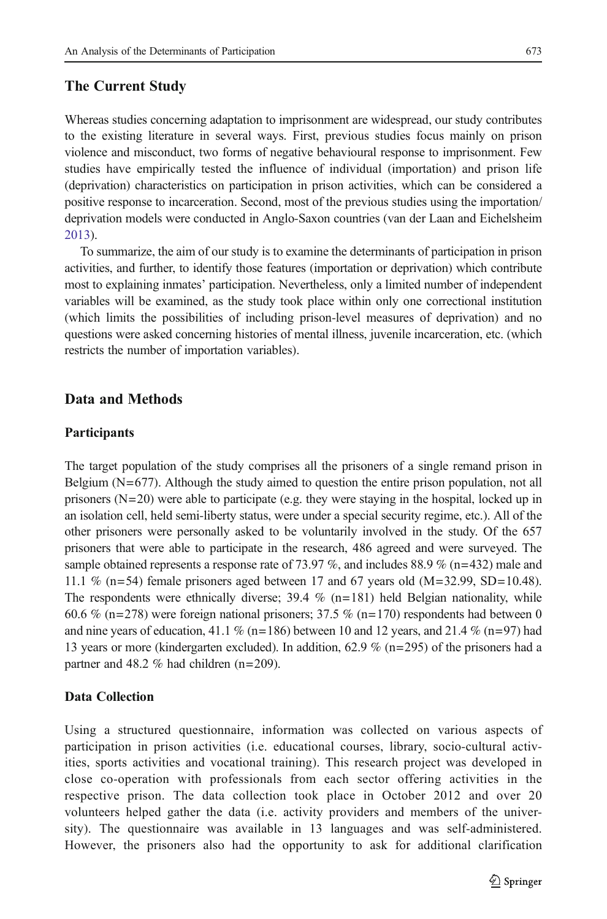# The Current Study

Whereas studies concerning adaptation to imprisonment are widespread, our study contributes to the existing literature in several ways. First, previous studies focus mainly on prison violence and misconduct, two forms of negative behavioural response to imprisonment. Few studies have empirically tested the influence of individual (importation) and prison life (deprivation) characteristics on participation in prison activities, which can be considered a positive response to incarceration. Second, most of the previous studies using the importation/ deprivation models were conducted in Anglo-Saxon countries (van der Laan and Eichelsheim [2013](#page-18-0)).

To summarize, the aim of our study is to examine the determinants of participation in prison activities, and further, to identify those features (importation or deprivation) which contribute most to explaining inmates' participation. Nevertheless, only a limited number of independent variables will be examined, as the study took place within only one correctional institution (which limits the possibilities of including prison-level measures of deprivation) and no questions were asked concerning histories of mental illness, juvenile incarceration, etc. (which restricts the number of importation variables).

# Data and Methods

### Participants

The target population of the study comprises all the prisoners of a single remand prison in Belgium (N=677). Although the study aimed to question the entire prison population, not all prisoners  $(N=20)$  were able to participate (e.g. they were staying in the hospital, locked up in an isolation cell, held semi-liberty status, were under a special security regime, etc.). All of the other prisoners were personally asked to be voluntarily involved in the study. Of the 657 prisoners that were able to participate in the research, 486 agreed and were surveyed. The sample obtained represents a response rate of 73.97 %, and includes 88.9 % ( $n=432$ ) male and 11.1 % (n=54) female prisoners aged between 17 and 67 years old (M=32.99, SD=10.48). The respondents were ethnically diverse; 39.4  $\%$  (n=181) held Belgian nationality, while 60.6 % (n=278) were foreign national prisoners; 37.5 % (n=170) respondents had between 0 and nine years of education, 41.1 % (n=186) between 10 and 12 years, and 21.4 % (n=97) had 13 years or more (kindergarten excluded). In addition, 62.9 % (n=295) of the prisoners had a partner and 48.2 % had children (n=209).

# Data Collection

Using a structured questionnaire, information was collected on various aspects of participation in prison activities (i.e. educational courses, library, socio-cultural activities, sports activities and vocational training). This research project was developed in close co-operation with professionals from each sector offering activities in the respective prison. The data collection took place in October 2012 and over 20 volunteers helped gather the data (i.e. activity providers and members of the university). The questionnaire was available in 13 languages and was self-administered. However, the prisoners also had the opportunity to ask for additional clarification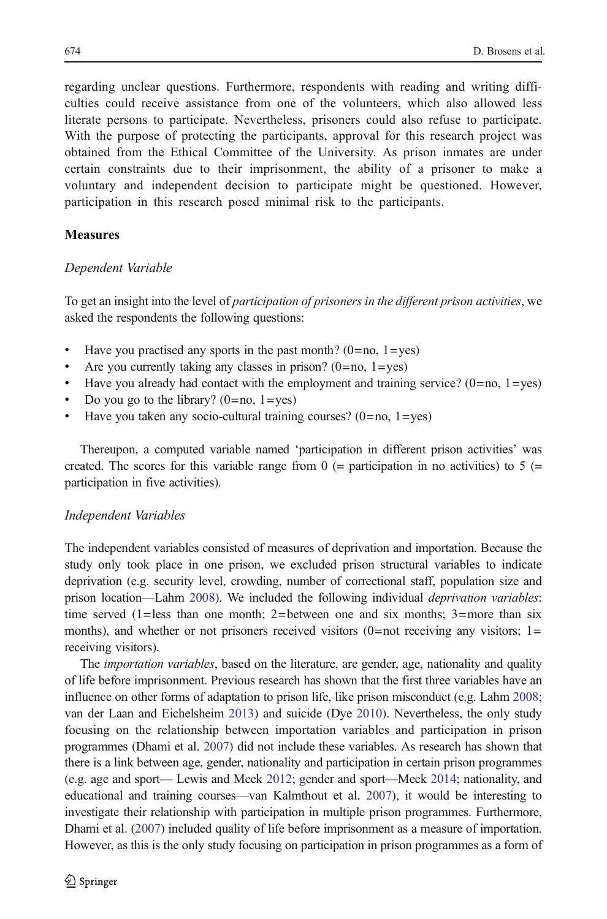regarding unclear questions. Furthermore, respondents with reading and writing difficulties could receive assistance from one of the volunteers, which also allowed less literate persons to participate. Nevertheless, prisoners could also refuse to participate. With the purpose of protecting the participants, approval for this research project was obtained from the Ethical Committee of the University. As prison inmates are under certain constraints due to their imprisonment, the ability of a prisoner to make a voluntary and independent decision to participate might be questioned. However, participation in this research posed minimal risk to the participants.

#### **Measures**

#### Dependent Variable

To get an insight into the level of *participation of prisoners in the different prison activities*, we asked the respondents the following questions:

- $\bullet$  Have you practised any sports in the past month? (0=no, 1=yes)
- Are you currently taking any classes in prison?  $(0=no, 1=yes)$
- Have you already had contact with the employment and training service?  $(0=no, 1=yes)$
- $\bullet$  Do you go to the library? (0=no, 1=yes)
- Have you taken any socio-cultural training courses?  $(0=no, 1=yes)$

Thereupon, a computed variable named 'participation in different prison activities' was created. The scores for this variable range from  $0$  (= participation in no activities) to  $5$  (= participation in five activities).

#### Independent Variables

The independent variables consisted of measures of deprivation and importation. Because the study only took place in one prison, we excluded prison structural variables to indicate deprivation (e.g. security level, crowding, number of correctional staff, population size and prison location—Lahm [2008\)](#page-17-0). We included the following individual deprivation variables: time served (1=less than one month; 2=between one and six months; 3=more than six months), and whether or not prisoners received visitors  $(0=$  not receiving any visitors;  $1=$ receiving visitors).

The *importation variables*, based on the literature, are gender, age, nationality and quality of life before imprisonment. Previous research has shown that the first three variables have an influence on other forms of adaptation to prison life, like prison misconduct (e.g. Lahm [2008](#page-17-0); van der Laan and Eichelsheim [2013](#page-18-0)) and suicide (Dye [2010\)](#page-16-0). Nevertheless, the only study focusing on the relationship between importation variables and participation in prison programmes (Dhami et al. [2007\)](#page-16-0) did not include these variables. As research has shown that there is a link between age, gender, nationality and participation in certain prison programmes (e.g. age and sport— Lewis and Meek [2012](#page-17-0); gender and sport—Meek [2014;](#page-17-0) nationality, and educational and training courses—van Kalmthout et al. [2007\)](#page-18-0), it would be interesting to investigate their relationship with participation in multiple prison programmes. Furthermore, Dhami et al. ([2007](#page-16-0)) included quality of life before imprisonment as a measure of importation. However, as this is the only study focusing on participation in prison programmes as a form of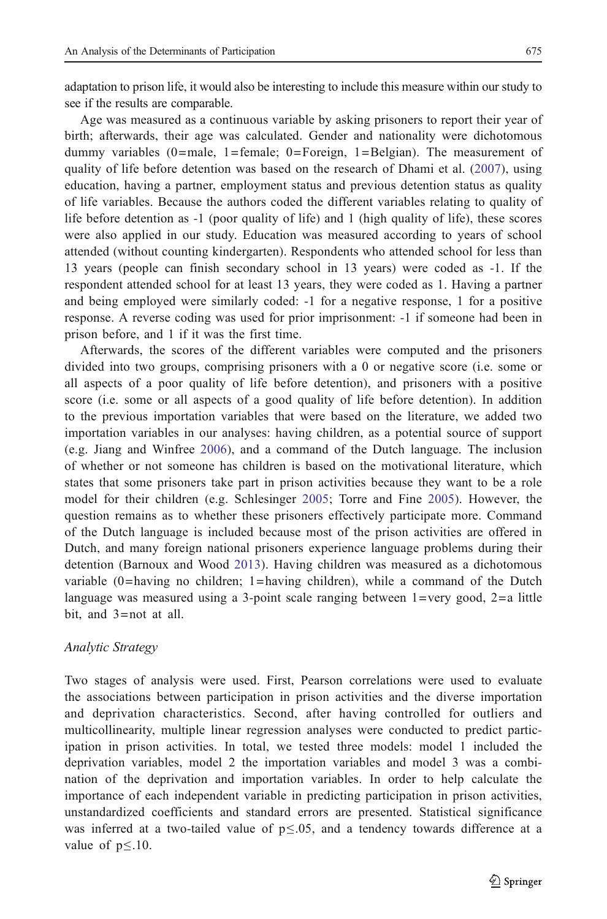adaptation to prison life, it would also be interesting to include this measure within our study to see if the results are comparable.

Age was measured as a continuous variable by asking prisoners to report their year of birth; afterwards, their age was calculated. Gender and nationality were dichotomous dummy variables (0=male, 1= female; 0=Foreign, 1=Belgian). The measurement of quality of life before detention was based on the research of Dhami et al. ([2007\)](#page-16-0), using education, having a partner, employment status and previous detention status as quality of life variables. Because the authors coded the different variables relating to quality of life before detention as -1 (poor quality of life) and 1 (high quality of life), these scores were also applied in our study. Education was measured according to years of school attended (without counting kindergarten). Respondents who attended school for less than 13 years (people can finish secondary school in 13 years) were coded as -1. If the respondent attended school for at least 13 years, they were coded as 1. Having a partner and being employed were similarly coded: -1 for a negative response, 1 for a positive response. A reverse coding was used for prior imprisonment: -1 if someone had been in prison before, and 1 if it was the first time.

Afterwards, the scores of the different variables were computed and the prisoners divided into two groups, comprising prisoners with a 0 or negative score (i.e. some or all aspects of a poor quality of life before detention), and prisoners with a positive score (i.e. some or all aspects of a good quality of life before detention). In addition to the previous importation variables that were based on the literature, we added two importation variables in our analyses: having children, as a potential source of support (e.g. Jiang and Winfree [2006](#page-17-0)), and a command of the Dutch language. The inclusion of whether or not someone has children is based on the motivational literature, which states that some prisoners take part in prison activities because they want to be a role model for their children (e.g. Schlesinger [2005](#page-17-0); Torre and Fine [2005](#page-18-0)). However, the question remains as to whether these prisoners effectively participate more. Command of the Dutch language is included because most of the prison activities are offered in Dutch, and many foreign national prisoners experience language problems during their detention (Barnoux and Wood [2013](#page-15-0)). Having children was measured as a dichotomous variable (0=having no children; 1=having children), while a command of the Dutch language was measured using a 3-point scale ranging between  $1 = \text{very good}, 2 = \text{little}$ bit, and 3=not at all.

#### Analytic Strategy

Two stages of analysis were used. First, Pearson correlations were used to evaluate the associations between participation in prison activities and the diverse importation and deprivation characteristics. Second, after having controlled for outliers and multicollinearity, multiple linear regression analyses were conducted to predict participation in prison activities. In total, we tested three models: model 1 included the deprivation variables, model 2 the importation variables and model 3 was a combination of the deprivation and importation variables. In order to help calculate the importance of each independent variable in predicting participation in prison activities, unstandardized coefficients and standard errors are presented. Statistical significance was inferred at a two-tailed value of  $p \le 0.05$ , and a tendency towards difference at a value of  $p \leq 0.10$ .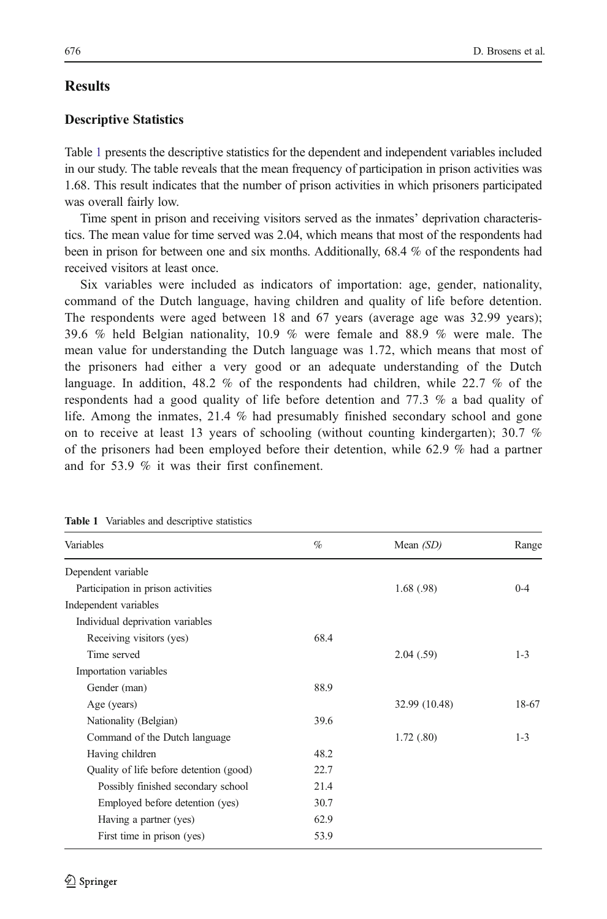# **Results**

### Descriptive Statistics

Table 1 presents the descriptive statistics for the dependent and independent variables included in our study. The table reveals that the mean frequency of participation in prison activities was 1.68. This result indicates that the number of prison activities in which prisoners participated was overall fairly low.

Time spent in prison and receiving visitors served as the inmates' deprivation characteristics. The mean value for time served was 2.04, which means that most of the respondents had been in prison for between one and six months. Additionally, 68.4 % of the respondents had received visitors at least once.

Six variables were included as indicators of importation: age, gender, nationality, command of the Dutch language, having children and quality of life before detention. The respondents were aged between 18 and 67 years (average age was 32.99 years); 39.6 % held Belgian nationality, 10.9 % were female and 88.9 % were male. The mean value for understanding the Dutch language was 1.72, which means that most of the prisoners had either a very good or an adequate understanding of the Dutch language. In addition, 48.2 % of the respondents had children, while 22.7 % of the respondents had a good quality of life before detention and 77.3 % a bad quality of life. Among the inmates, 21.4 % had presumably finished secondary school and gone on to receive at least 13 years of schooling (without counting kindergarten); 30.7 % of the prisoners had been employed before their detention, while 62.9 % had a partner and for 53.9 % it was their first confinement.

| Variables                               | $\%$ | Mean $(SD)$   | Range   |
|-----------------------------------------|------|---------------|---------|
| Dependent variable                      |      |               |         |
| Participation in prison activities      |      | 1.68(0.98)    | $0 - 4$ |
| Independent variables                   |      |               |         |
| Individual deprivation variables        |      |               |         |
| Receiving visitors (yes)                | 68.4 |               |         |
| Time served                             |      | 2.04(.59)     | $1 - 3$ |
| Importation variables                   |      |               |         |
| Gender (man)                            | 88.9 |               |         |
| Age (years)                             |      | 32.99 (10.48) | 18-67   |
| Nationality (Belgian)                   | 39.6 |               |         |
| Command of the Dutch language           |      | 1.72(0.80)    | $1 - 3$ |
| Having children                         | 48.2 |               |         |
| Quality of life before detention (good) | 22.7 |               |         |
| Possibly finished secondary school      | 21.4 |               |         |
| Employed before detention (yes)         | 30.7 |               |         |
| Having a partner (yes)                  | 62.9 |               |         |
| First time in prison (yes)              | 53.9 |               |         |
|                                         |      |               |         |

Table 1 Variables and descriptive statistics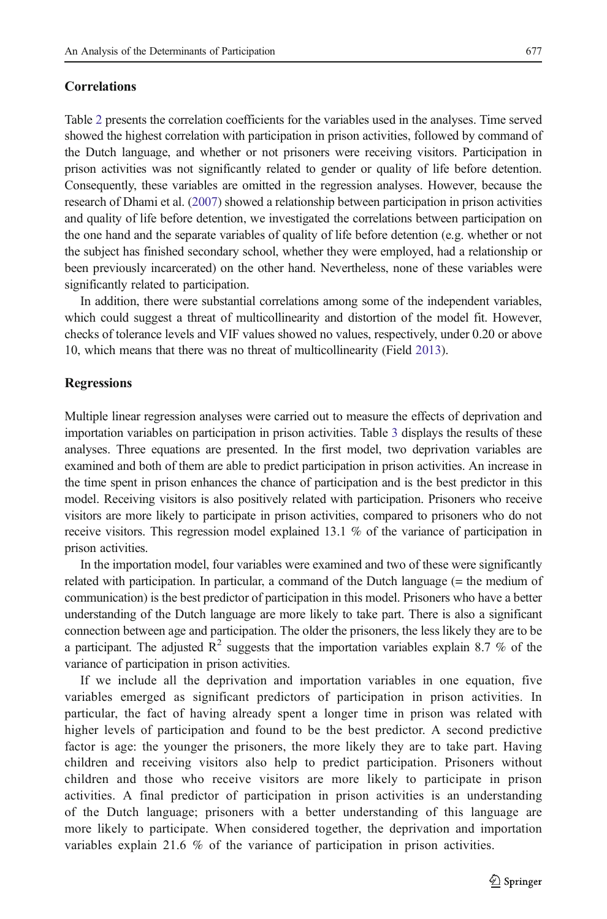### **Correlations**

Table [2](#page-9-0) presents the correlation coefficients for the variables used in the analyses. Time served showed the highest correlation with participation in prison activities, followed by command of the Dutch language, and whether or not prisoners were receiving visitors. Participation in prison activities was not significantly related to gender or quality of life before detention. Consequently, these variables are omitted in the regression analyses. However, because the research of Dhami et al. [\(2007\)](#page-16-0) showed a relationship between participation in prison activities and quality of life before detention, we investigated the correlations between participation on the one hand and the separate variables of quality of life before detention (e.g. whether or not the subject has finished secondary school, whether they were employed, had a relationship or been previously incarcerated) on the other hand. Nevertheless, none of these variables were significantly related to participation.

In addition, there were substantial correlations among some of the independent variables, which could suggest a threat of multicollinearity and distortion of the model fit. However, checks of tolerance levels and VIF values showed no values, respectively, under 0.20 or above 10, which means that there was no threat of multicollinearity (Field [2013\)](#page-16-0).

### **Regressions**

Multiple linear regression analyses were carried out to measure the effects of deprivation and importation variables on participation in prison activities. Table [3](#page-10-0) displays the results of these analyses. Three equations are presented. In the first model, two deprivation variables are examined and both of them are able to predict participation in prison activities. An increase in the time spent in prison enhances the chance of participation and is the best predictor in this model. Receiving visitors is also positively related with participation. Prisoners who receive visitors are more likely to participate in prison activities, compared to prisoners who do not receive visitors. This regression model explained 13.1 % of the variance of participation in prison activities.

In the importation model, four variables were examined and two of these were significantly related with participation. In particular, a command of the Dutch language (= the medium of communication) is the best predictor of participation in this model. Prisoners who have a better understanding of the Dutch language are more likely to take part. There is also a significant connection between age and participation. The older the prisoners, the less likely they are to be a participant. The adjusted  $\mathbb{R}^2$  suggests that the importation variables explain 8.7 % of the variance of participation in prison activities.

If we include all the deprivation and importation variables in one equation, five variables emerged as significant predictors of participation in prison activities. In particular, the fact of having already spent a longer time in prison was related with higher levels of participation and found to be the best predictor. A second predictive factor is age: the younger the prisoners, the more likely they are to take part. Having children and receiving visitors also help to predict participation. Prisoners without children and those who receive visitors are more likely to participate in prison activities. A final predictor of participation in prison activities is an understanding of the Dutch language; prisoners with a better understanding of this language are more likely to participate. When considered together, the deprivation and importation variables explain 21.6 % of the variance of participation in prison activities.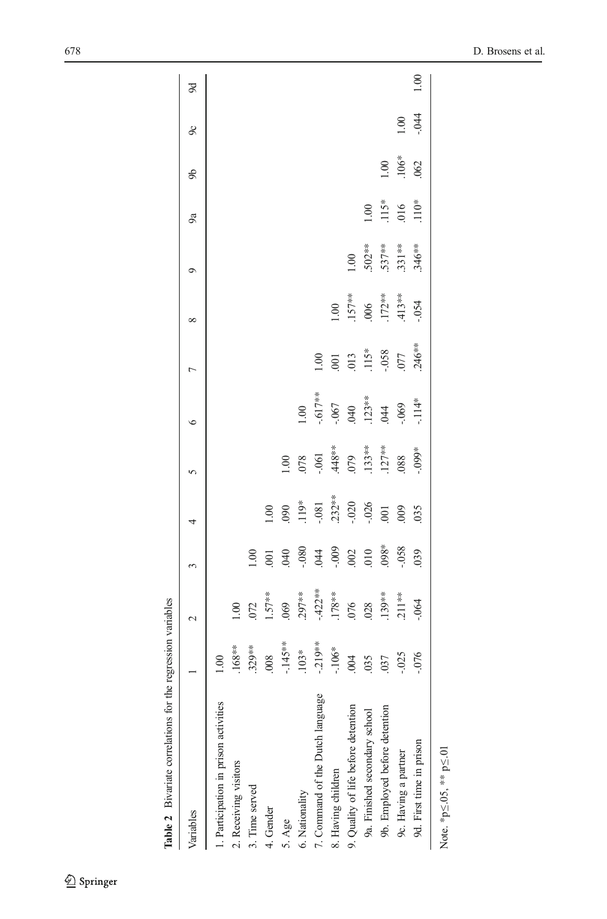<span id="page-9-0"></span>

| Table 2 Bivariate correlations for the | regression variables |           |                |                 |                |               |                |           |                |               |        |                |                |
|----------------------------------------|----------------------|-----------|----------------|-----------------|----------------|---------------|----------------|-----------|----------------|---------------|--------|----------------|----------------|
| Variables                              |                      | 2         | 3              | 4               | 5              | $\circ$       | 冖              | ∞         | ᢀ              | 9a            | 9b     | 9c             | $\mathfrak{g}$ |
| . Participation in prison activities   | 1.00                 |           |                |                 |                |               |                |           |                |               |        |                |                |
| 2. Receiving visitors                  | .168**               | 00.1      |                |                 |                |               |                |           |                |               |        |                |                |
| 3. Time served                         | $.329***$            | 072       | 00.1           |                 |                |               |                |           |                |               |        |                |                |
| 4. Gender                              | 008                  | $1.57***$ | $\overline{0}$ | $\overline{00}$ |                |               |                |           |                |               |        |                |                |
| 5. Age                                 | $-.145***$           | 069       | 040            | 090             | $\overline{0}$ |               |                |           |                |               |        |                |                |
| 6. Nationality                         | $103*$               | $.297**$  | $080 -$        | $.119*$         | 078            | $\frac{8}{1}$ |                |           |                |               |        |                |                |
| 7. Command of the Dutch language       | $-219***$            | $-422***$ | .044           | .081            | .061           | $.617**$      | 00.1           |           |                |               |        |                |                |
| 8. Having children                     | $-.106*$             | .178**    | $-0.009$       | $.232***$       | $448**$        | .067          | $\overline{0}$ | 00.1      |                |               |        |                |                |
| 9. Quality of life before detention    | .004                 | .076      | .002           | $-0.020$        | 620.           | 040           | .013           | $.157***$ | $\frac{8}{10}$ |               |        |                |                |
| 9a. Finished secondary school          | .035                 | 028       | 010            | $-0.026$        | $.133***$      | $.123**$      | $115*$         | 006       | $.502***$      | $\frac{8}{1}$ |        |                |                |
| 9b. Employed before detention          | .037                 | $.139***$ | $.098*$        | $\overline{0}$  | $.127***$      | .044          | $-0.058$       | $.172***$ | $.537***$      | $115*$        | 0.00   |                |                |
| 9c. Having a partner                   | $-025$               | $211**$   | 0.058          | $^{009}$        | 088            | .069          | 077            | $.413***$ | $331**$        | 016           | $106*$ | $\overline{0}$ |                |
| 9d. First time in prison               | .076                 | .064      | 039            | 035             | *660           | $.114*$       | $.246***$      | .054      | 346**          | $110*$        | 062    | .044           | 1.00           |
|                                        |                      |           |                |                 |                |               |                |           |                |               |        |                |                |

Note. \* $p \le 0.05$ , \*\*  $p \le 0.01$ Note. \*p≤.05, \*\* p≤.01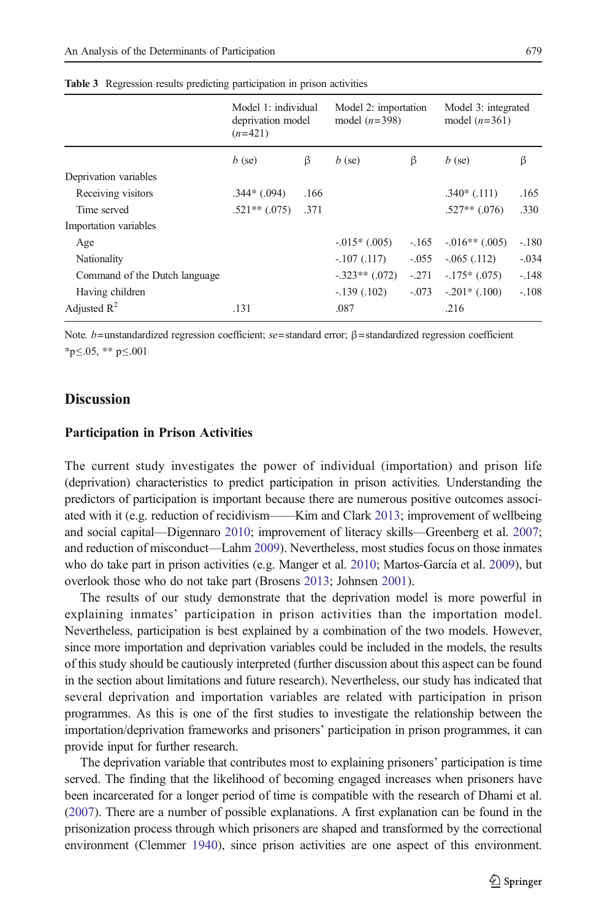|                               | Model 1: individual<br>deprivation model<br>$(n=421)$ |      | Model 2: importation<br>model $(n=398)$ |         | Model 3: integrated<br>model $(n=361)$ |         |
|-------------------------------|-------------------------------------------------------|------|-----------------------------------------|---------|----------------------------------------|---------|
|                               | $b$ (se)                                              | β    | $b$ (se)                                | β       | $b$ (se)                               | β       |
| Deprivation variables         |                                                       |      |                                         |         |                                        |         |
| Receiving visitors            | $.344*(.094)$                                         | .166 |                                         |         | $.340*(.111)$                          | .165    |
| Time served                   | $.521**$ $(.075)$                                     | .371 |                                         |         | $.527**$ $(.076)$                      | .330    |
| Importation variables         |                                                       |      |                                         |         |                                        |         |
| Age                           |                                                       |      | $-.015*(.005)$                          | $-165$  | $-0.016**$ (.005)                      | $-.180$ |
| Nationality                   |                                                       |      | $-107(0.117)$                           | $-.055$ | $-.065(.112)$                          | $-.034$ |
| Command of the Dutch language |                                                       |      | $-.323**(.072)$                         | $-.271$ | $-.175*(.075)$                         | $-.148$ |
| Having children               |                                                       |      | $-.139(.102)$                           | $-.073$ | $-.201*$ (.100)                        | $-.108$ |
| Adjusted $R^2$                | .131                                                  |      | .087                                    |         | .216                                   |         |

<span id="page-10-0"></span>Table 3 Regression results predicting participation in prison activities

Note. b=unstandardized regression coefficient; se=standard error; β=standardized regression coefficient \*p≤.05, \*\* p≤.001

# **Discussion**

#### Participation in Prison Activities

The current study investigates the power of individual (importation) and prison life (deprivation) characteristics to predict participation in prison activities. Understanding the predictors of participation is important because there are numerous positive outcomes associated with it (e.g. reduction of recidivism——Kim and Clark [2013;](#page-17-0) improvement of wellbeing and social capital—Digennaro [2010](#page-16-0); improvement of literacy skills—Greenberg et al. [2007](#page-16-0); and reduction of misconduct—Lahm [2009\)](#page-17-0). Nevertheless, most studies focus on those inmates who do take part in prison activities (e.g. Manger et al. [2010](#page-17-0); Martos-García et al. [2009\)](#page-17-0), but overlook those who do not take part (Brosens [2013;](#page-15-0) Johnsen [2001\)](#page-17-0).

The results of our study demonstrate that the deprivation model is more powerful in explaining inmates' participation in prison activities than the importation model. Nevertheless, participation is best explained by a combination of the two models. However, since more importation and deprivation variables could be included in the models, the results of this study should be cautiously interpreted (further discussion about this aspect can be found in the section about limitations and future research). Nevertheless, our study has indicated that several deprivation and importation variables are related with participation in prison programmes. As this is one of the first studies to investigate the relationship between the importation/deprivation frameworks and prisoners' participation in prison programmes, it can provide input for further research.

The deprivation variable that contributes most to explaining prisoners' participation is time served. The finding that the likelihood of becoming engaged increases when prisoners have been incarcerated for a longer period of time is compatible with the research of Dhami et al. ([2007](#page-16-0)). There are a number of possible explanations. A first explanation can be found in the prisonization process through which prisoners are shaped and transformed by the correctional environment (Clemmer [1940\)](#page-15-0), since prison activities are one aspect of this environment.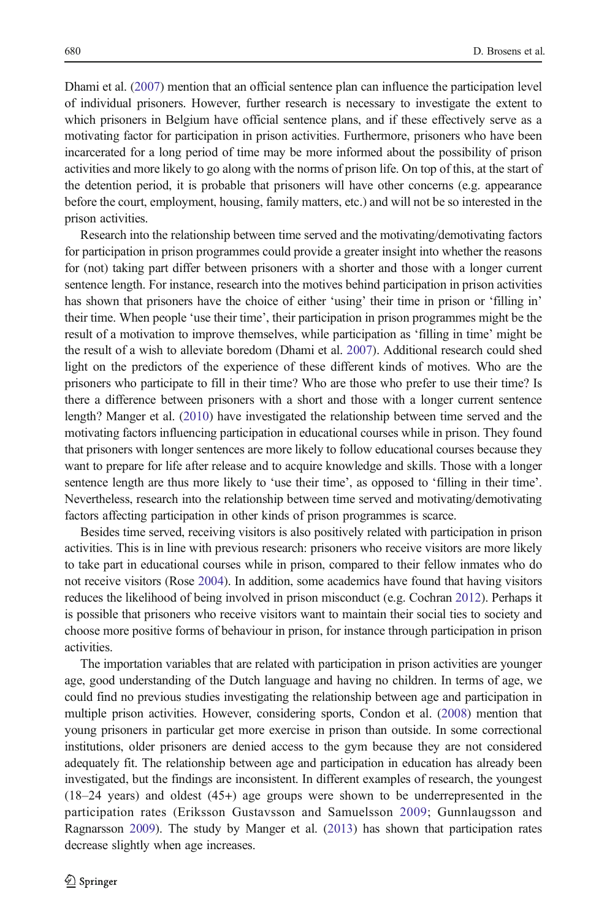Dhami et al. [\(2007\)](#page-16-0) mention that an official sentence plan can influence the participation level of individual prisoners. However, further research is necessary to investigate the extent to which prisoners in Belgium have official sentence plans, and if these effectively serve as a motivating factor for participation in prison activities. Furthermore, prisoners who have been incarcerated for a long period of time may be more informed about the possibility of prison activities and more likely to go along with the norms of prison life. On top of this, at the start of the detention period, it is probable that prisoners will have other concerns (e.g. appearance before the court, employment, housing, family matters, etc.) and will not be so interested in the prison activities.

Research into the relationship between time served and the motivating/demotivating factors for participation in prison programmes could provide a greater insight into whether the reasons for (not) taking part differ between prisoners with a shorter and those with a longer current sentence length. For instance, research into the motives behind participation in prison activities has shown that prisoners have the choice of either 'using' their time in prison or 'filling in' their time. When people 'use their time', their participation in prison programmes might be the result of a motivation to improve themselves, while participation as 'filling in time' might be the result of a wish to alleviate boredom (Dhami et al. [2007\)](#page-16-0). Additional research could shed light on the predictors of the experience of these different kinds of motives. Who are the prisoners who participate to fill in their time? Who are those who prefer to use their time? Is there a difference between prisoners with a short and those with a longer current sentence length? Manger et al. ([2010](#page-17-0)) have investigated the relationship between time served and the motivating factors influencing participation in educational courses while in prison. They found that prisoners with longer sentences are more likely to follow educational courses because they want to prepare for life after release and to acquire knowledge and skills. Those with a longer sentence length are thus more likely to 'use their time', as opposed to 'filling in their time'. Nevertheless, research into the relationship between time served and motivating/demotivating factors affecting participation in other kinds of prison programmes is scarce.

Besides time served, receiving visitors is also positively related with participation in prison activities. This is in line with previous research: prisoners who receive visitors are more likely to take part in educational courses while in prison, compared to their fellow inmates who do not receive visitors (Rose [2004](#page-17-0)). In addition, some academics have found that having visitors reduces the likelihood of being involved in prison misconduct (e.g. Cochran [2012](#page-15-0)). Perhaps it is possible that prisoners who receive visitors want to maintain their social ties to society and choose more positive forms of behaviour in prison, for instance through participation in prison activities.

The importation variables that are related with participation in prison activities are younger age, good understanding of the Dutch language and having no children. In terms of age, we could find no previous studies investigating the relationship between age and participation in multiple prison activities. However, considering sports, Condon et al. ([2008](#page-16-0)) mention that young prisoners in particular get more exercise in prison than outside. In some correctional institutions, older prisoners are denied access to the gym because they are not considered adequately fit. The relationship between age and participation in education has already been investigated, but the findings are inconsistent. In different examples of research, the youngest (18–24 years) and oldest (45+) age groups were shown to be underrepresented in the participation rates (Eriksson Gustavsson and Samuelsson [2009](#page-16-0); Gunnlaugsson and Ragnarsson [2009](#page-16-0)). The study by Manger et al. [\(2013\)](#page-17-0) has shown that participation rates decrease slightly when age increases.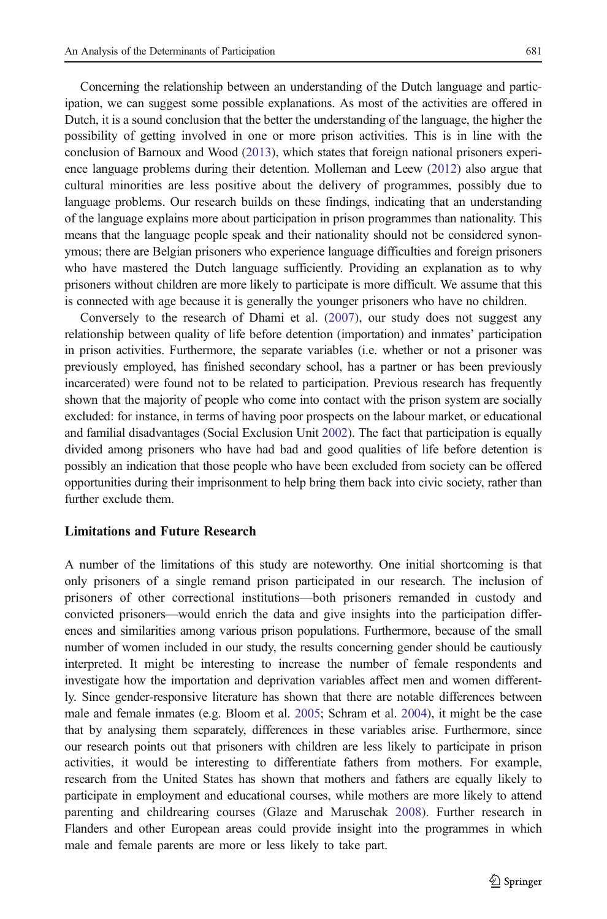Concerning the relationship between an understanding of the Dutch language and participation, we can suggest some possible explanations. As most of the activities are offered in Dutch, it is a sound conclusion that the better the understanding of the language, the higher the possibility of getting involved in one or more prison activities. This is in line with the conclusion of Barnoux and Wood [\(2013\)](#page-15-0), which states that foreign national prisoners experience language problems during their detention. Molleman and Leew [\(2012\)](#page-17-0) also argue that cultural minorities are less positive about the delivery of programmes, possibly due to language problems. Our research builds on these findings, indicating that an understanding of the language explains more about participation in prison programmes than nationality. This means that the language people speak and their nationality should not be considered synonymous; there are Belgian prisoners who experience language difficulties and foreign prisoners who have mastered the Dutch language sufficiently. Providing an explanation as to why prisoners without children are more likely to participate is more difficult. We assume that this is connected with age because it is generally the younger prisoners who have no children.

Conversely to the research of Dhami et al. ([2007\)](#page-16-0), our study does not suggest any relationship between quality of life before detention (importation) and inmates' participation in prison activities. Furthermore, the separate variables (i.e. whether or not a prisoner was previously employed, has finished secondary school, has a partner or has been previously incarcerated) were found not to be related to participation. Previous research has frequently shown that the majority of people who come into contact with the prison system are socially excluded: for instance, in terms of having poor prospects on the labour market, or educational and familial disadvantages (Social Exclusion Unit [2002\)](#page-18-0). The fact that participation is equally divided among prisoners who have had bad and good qualities of life before detention is possibly an indication that those people who have been excluded from society can be offered opportunities during their imprisonment to help bring them back into civic society, rather than further exclude them.

### Limitations and Future Research

A number of the limitations of this study are noteworthy. One initial shortcoming is that only prisoners of a single remand prison participated in our research. The inclusion of prisoners of other correctional institutions—both prisoners remanded in custody and convicted prisoners—would enrich the data and give insights into the participation differences and similarities among various prison populations. Furthermore, because of the small number of women included in our study, the results concerning gender should be cautiously interpreted. It might be interesting to increase the number of female respondents and investigate how the importation and deprivation variables affect men and women differently. Since gender-responsive literature has shown that there are notable differences between male and female inmates (e.g. Bloom et al. [2005;](#page-15-0) Schram et al. [2004](#page-17-0)), it might be the case that by analysing them separately, differences in these variables arise. Furthermore, since our research points out that prisoners with children are less likely to participate in prison activities, it would be interesting to differentiate fathers from mothers. For example, research from the United States has shown that mothers and fathers are equally likely to participate in employment and educational courses, while mothers are more likely to attend parenting and childrearing courses (Glaze and Maruschak [2008](#page-16-0)). Further research in Flanders and other European areas could provide insight into the programmes in which male and female parents are more or less likely to take part.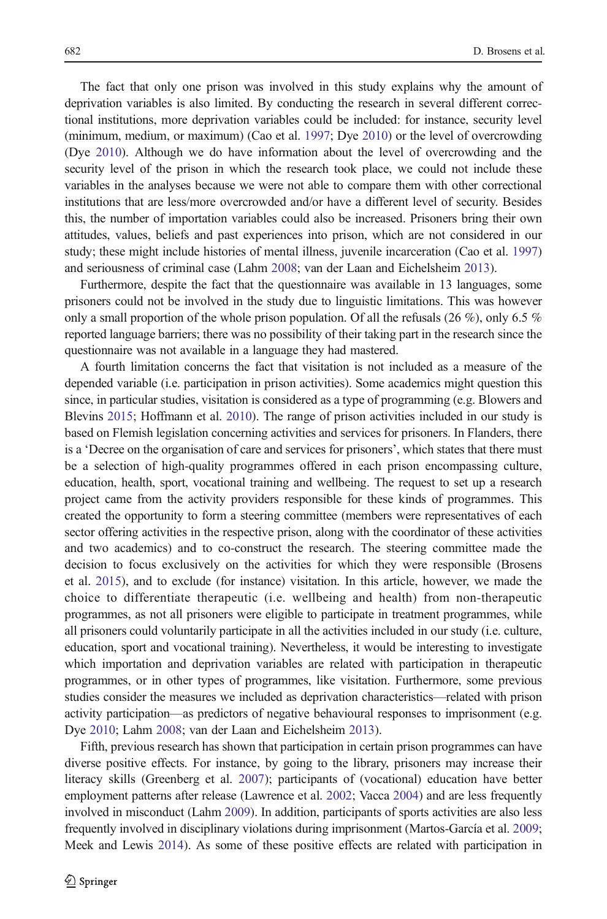The fact that only one prison was involved in this study explains why the amount of deprivation variables is also limited. By conducting the research in several different correctional institutions, more deprivation variables could be included: for instance, security level (minimum, medium, or maximum) (Cao et al. [1997](#page-15-0); Dye [2010\)](#page-16-0) or the level of overcrowding (Dye [2010\)](#page-16-0). Although we do have information about the level of overcrowding and the security level of the prison in which the research took place, we could not include these variables in the analyses because we were not able to compare them with other correctional institutions that are less/more overcrowded and/or have a different level of security. Besides this, the number of importation variables could also be increased. Prisoners bring their own attitudes, values, beliefs and past experiences into prison, which are not considered in our study; these might include histories of mental illness, juvenile incarceration (Cao et al. [1997\)](#page-15-0) and seriousness of criminal case (Lahm [2008](#page-17-0); van der Laan and Eichelsheim [2013\)](#page-18-0).

Furthermore, despite the fact that the questionnaire was available in 13 languages, some prisoners could not be involved in the study due to linguistic limitations. This was however only a small proportion of the whole prison population. Of all the refusals (26 %), only 6.5 % reported language barriers; there was no possibility of their taking part in the research since the questionnaire was not available in a language they had mastered.

A fourth limitation concerns the fact that visitation is not included as a measure of the depended variable (i.e. participation in prison activities). Some academics might question this since, in particular studies, visitation is considered as a type of programming (e.g. Blowers and Blevins [2015](#page-15-0); Hoffmann et al. [2010](#page-17-0)). The range of prison activities included in our study is based on Flemish legislation concerning activities and services for prisoners. In Flanders, there is a 'Decree on the organisation of care and services for prisoners', which states that there must be a selection of high-quality programmes offered in each prison encompassing culture, education, health, sport, vocational training and wellbeing. The request to set up a research project came from the activity providers responsible for these kinds of programmes. This created the opportunity to form a steering committee (members were representatives of each sector offering activities in the respective prison, along with the coordinator of these activities and two academics) and to co-construct the research. The steering committee made the decision to focus exclusively on the activities for which they were responsible (Brosens et al. [2015\)](#page-15-0), and to exclude (for instance) visitation. In this article, however, we made the choice to differentiate therapeutic (i.e. wellbeing and health) from non-therapeutic programmes, as not all prisoners were eligible to participate in treatment programmes, while all prisoners could voluntarily participate in all the activities included in our study (i.e. culture, education, sport and vocational training). Nevertheless, it would be interesting to investigate which importation and deprivation variables are related with participation in therapeutic programmes, or in other types of programmes, like visitation. Furthermore, some previous studies consider the measures we included as deprivation characteristics—related with prison activity participation—as predictors of negative behavioural responses to imprisonment (e.g. Dye [2010;](#page-16-0) Lahm [2008;](#page-17-0) van der Laan and Eichelsheim [2013](#page-18-0)).

Fifth, previous research has shown that participation in certain prison programmes can have diverse positive effects. For instance, by going to the library, prisoners may increase their literacy skills (Greenberg et al. [2007\)](#page-16-0); participants of (vocational) education have better employment patterns after release (Lawrence et al. [2002;](#page-17-0) Vacca [2004](#page-18-0)) and are less frequently involved in misconduct (Lahm [2009](#page-17-0)). In addition, participants of sports activities are also less frequently involved in disciplinary violations during imprisonment (Martos-García et al. [2009](#page-17-0); Meek and Lewis [2014](#page-17-0)). As some of these positive effects are related with participation in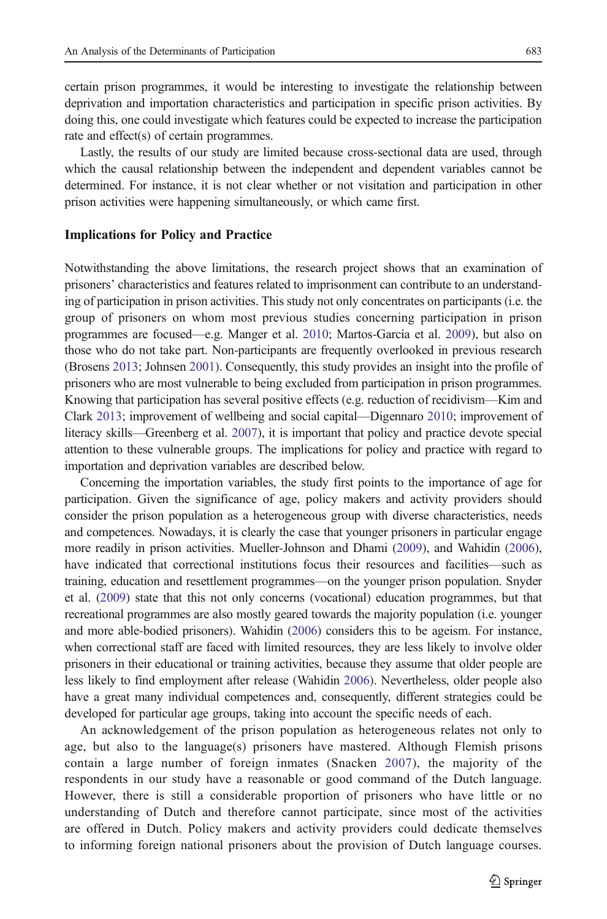certain prison programmes, it would be interesting to investigate the relationship between deprivation and importation characteristics and participation in specific prison activities. By doing this, one could investigate which features could be expected to increase the participation rate and effect(s) of certain programmes.

Lastly, the results of our study are limited because cross-sectional data are used, through which the causal relationship between the independent and dependent variables cannot be determined. For instance, it is not clear whether or not visitation and participation in other prison activities were happening simultaneously, or which came first.

#### Implications for Policy and Practice

Notwithstanding the above limitations, the research project shows that an examination of prisoners' characteristics and features related to imprisonment can contribute to an understanding of participation in prison activities. This study not only concentrates on participants (i.e. the group of prisoners on whom most previous studies concerning participation in prison programmes are focused—e.g. Manger et al. [2010;](#page-17-0) Martos-García et al. [2009](#page-17-0)), but also on those who do not take part. Non-participants are frequently overlooked in previous research (Brosens [2013](#page-15-0); Johnsen [2001\)](#page-17-0). Consequently, this study provides an insight into the profile of prisoners who are most vulnerable to being excluded from participation in prison programmes. Knowing that participation has several positive effects (e.g. reduction of recidivism—Kim and Clark [2013](#page-17-0); improvement of wellbeing and social capital—Digennaro [2010](#page-16-0); improvement of literacy skills—Greenberg et al. [2007](#page-16-0)), it is important that policy and practice devote special attention to these vulnerable groups. The implications for policy and practice with regard to importation and deprivation variables are described below.

Concerning the importation variables, the study first points to the importance of age for participation. Given the significance of age, policy makers and activity providers should consider the prison population as a heterogeneous group with diverse characteristics, needs and competences. Nowadays, it is clearly the case that younger prisoners in particular engage more readily in prison activities. Mueller-Johnson and Dhami [\(2009\)](#page-17-0), and Wahidin ([2006](#page-18-0)), have indicated that correctional institutions focus their resources and facilities—such as training, education and resettlement programmes—on the younger prison population. Snyder et al. ([2009](#page-17-0)) state that this not only concerns (vocational) education programmes, but that recreational programmes are also mostly geared towards the majority population (i.e. younger and more able-bodied prisoners). Wahidin [\(2006\)](#page-18-0) considers this to be ageism. For instance, when correctional staff are faced with limited resources, they are less likely to involve older prisoners in their educational or training activities, because they assume that older people are less likely to find employment after release (Wahidin [2006\)](#page-18-0). Nevertheless, older people also have a great many individual competences and, consequently, different strategies could be developed for particular age groups, taking into account the specific needs of each.

An acknowledgement of the prison population as heterogeneous relates not only to age, but also to the language(s) prisoners have mastered. Although Flemish prisons contain a large number of foreign inmates (Snacken [2007\)](#page-17-0), the majority of the respondents in our study have a reasonable or good command of the Dutch language. However, there is still a considerable proportion of prisoners who have little or no understanding of Dutch and therefore cannot participate, since most of the activities are offered in Dutch. Policy makers and activity providers could dedicate themselves to informing foreign national prisoners about the provision of Dutch language courses.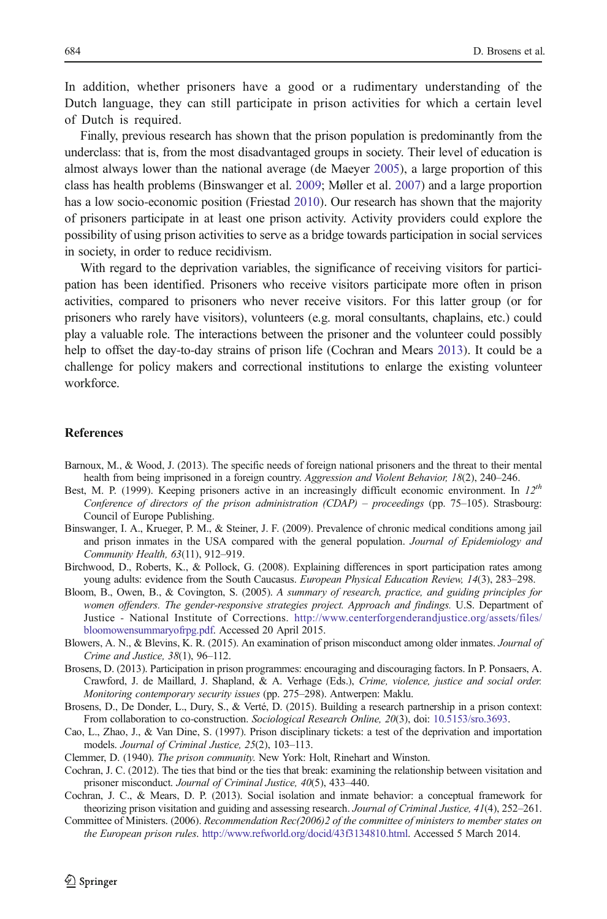<span id="page-15-0"></span>In addition, whether prisoners have a good or a rudimentary understanding of the Dutch language, they can still participate in prison activities for which a certain level of Dutch is required.

Finally, previous research has shown that the prison population is predominantly from the underclass: that is, from the most disadvantaged groups in society. Their level of education is almost always lower than the national average (de Maeyer [2005\)](#page-16-0), a large proportion of this class has health problems (Binswanger et al. 2009; Møller et al. [2007\)](#page-17-0) and a large proportion has a low socio-economic position (Friestad [2010\)](#page-16-0). Our research has shown that the majority of prisoners participate in at least one prison activity. Activity providers could explore the possibility of using prison activities to serve as a bridge towards participation in social services in society, in order to reduce recidivism.

With regard to the deprivation variables, the significance of receiving visitors for participation has been identified. Prisoners who receive visitors participate more often in prison activities, compared to prisoners who never receive visitors. For this latter group (or for prisoners who rarely have visitors), volunteers (e.g. moral consultants, chaplains, etc.) could play a valuable role. The interactions between the prisoner and the volunteer could possibly help to offset the day-to-day strains of prison life (Cochran and Mears 2013). It could be a challenge for policy makers and correctional institutions to enlarge the existing volunteer workforce.

#### **References**

- Barnoux, M., & Wood, J. (2013). The specific needs of foreign national prisoners and the threat to their mental health from being imprisoned in a foreign country. Aggression and Violent Behavior, 18(2), 240-246.
- Best, M. P. (1999). Keeping prisoners active in an increasingly difficult economic environment. In  $12^{th}$ Conference of directors of the prison administration (CDAP) – proceedings (pp. 75–105). Strasbourg: Council of Europe Publishing.
- Binswanger, I. A., Krueger, P. M., & Steiner, J. F. (2009). Prevalence of chronic medical conditions among jail and prison inmates in the USA compared with the general population. Journal of Epidemiology and Community Health, 63(11), 912–919.
- Birchwood, D., Roberts, K., & Pollock, G. (2008). Explaining differences in sport participation rates among young adults: evidence from the South Caucasus. European Physical Education Review, 14(3), 283–298.
- Bloom, B., Owen, B., & Covington, S. (2005). A summary of research, practice, and guiding principles for women offenders. The gender-responsive strategies project. Approach and findings. U.S. Department of Justice - National Institute of Corrections. [http://www.centerforgenderandjustice.org/assets/files/](http://www.centerforgenderandjustice.org/assets/files/bloomowensummaryofrpg.pdf) [bloomowensummaryofrpg.pdf](http://www.centerforgenderandjustice.org/assets/files/bloomowensummaryofrpg.pdf). Accessed 20 April 2015.
- Blowers, A. N., & Blevins, K. R. (2015). An examination of prison misconduct among older inmates. Journal of Crime and Justice, 38(1), 96–112.
- Brosens, D. (2013). Participation in prison programmes: encouraging and discouraging factors. In P. Ponsaers, A. Crawford, J. de Maillard, J. Shapland, & A. Verhage (Eds.), Crime, violence, justice and social order. Monitoring contemporary security issues (pp. 275–298). Antwerpen: Maklu.
- Brosens, D., De Donder, L., Dury, S., & Verté, D. (2015). Building a research partnership in a prison context: From collaboration to co-construction. Sociological Research Online, 20(3), doi: [10.5153/sro.3693.](http://dx.doi.org/10.5153/sro.3693)
- Cao, L., Zhao, J., & Van Dine, S. (1997). Prison disciplinary tickets: a test of the deprivation and importation models. Journal of Criminal Justice, 25(2), 103–113.
- Clemmer, D. (1940). The prison community. New York: Holt, Rinehart and Winston.
- Cochran, J. C. (2012). The ties that bind or the ties that break: examining the relationship between visitation and prisoner misconduct. Journal of Criminal Justice, 40(5), 433–440.
- Cochran, J. C., & Mears, D. P. (2013). Social isolation and inmate behavior: a conceptual framework for theorizing prison visitation and guiding and assessing research. Journal of Criminal Justice, 41(4), 252–261.
- Committee of Ministers. (2006). Recommendation Rec(2006)2 of the committee of ministers to member states on the European prison rules. <http://www.refworld.org/docid/43f3134810.html>. Accessed 5 March 2014.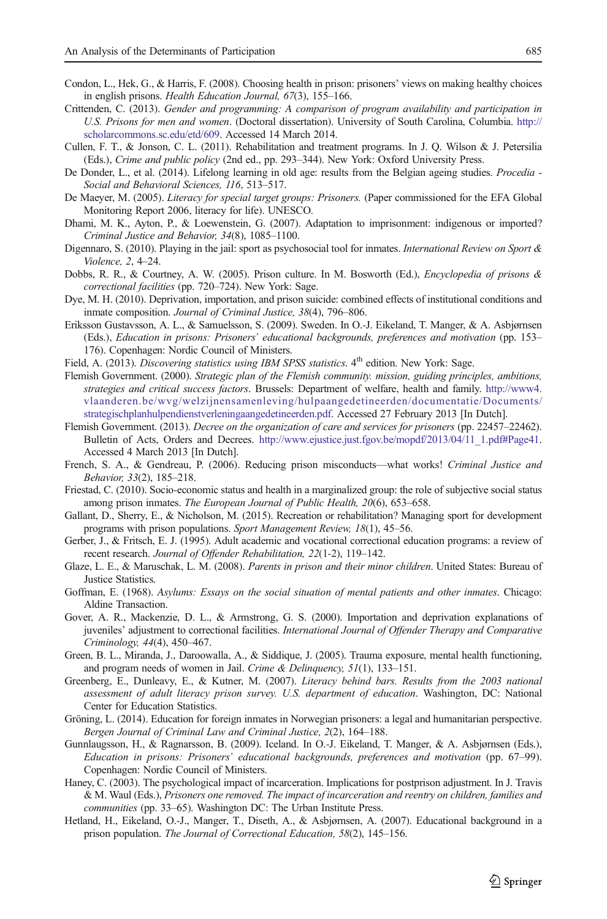- <span id="page-16-0"></span>Condon, L., Hek, G., & Harris, F. (2008). Choosing health in prison: prisoners' views on making healthy choices in english prisons. Health Education Journal, 67(3), 155–166.
- Crittenden, C. (2013). Gender and programming: A comparison of program availability and participation in U.S. Prisons for men and women. (Doctoral dissertation). University of South Carolina, Columbia. [http://](http://scholarcommons.sc.edu/etd/609) [scholarcommons.sc.edu/etd/609](http://scholarcommons.sc.edu/etd/609). Accessed 14 March 2014.
- Cullen, F. T., & Jonson, C. L. (2011). Rehabilitation and treatment programs. In J. Q. Wilson & J. Petersilia (Eds.), Crime and public policy (2nd ed., pp. 293–344). New York: Oxford University Press.
- De Donder, L., et al. (2014). Lifelong learning in old age: results from the Belgian ageing studies. Procedia -Social and Behavioral Sciences, 116, 513–517.
- De Maeyer, M. (2005). Literacy for special target groups: Prisoners. (Paper commissioned for the EFA Global Monitoring Report 2006, literacy for life). UNESCO.
- Dhami, M. K., Ayton, P., & Loewenstein, G. (2007). Adaptation to imprisonment: indigenous or imported? Criminal Justice and Behavior, 34(8), 1085–1100.
- Digennaro, S. (2010). Playing in the jail: sport as psychosocial tool for inmates. International Review on Sport & Violence, 2, 4–24.
- Dobbs, R. R., & Courtney, A. W. (2005). Prison culture. In M. Bosworth (Ed.), *Encyclopedia of prisons &* correctional facilities (pp. 720–724). New York: Sage.
- Dye, M. H. (2010). Deprivation, importation, and prison suicide: combined effects of institutional conditions and inmate composition. Journal of Criminal Justice, 38(4), 796–806.
- Eriksson Gustavsson, A. L., & Samuelsson, S. (2009). Sweden. In O.-J. Eikeland, T. Manger, & A. Asbjørnsen (Eds.), Education in prisons: Prisoners' educational backgrounds, preferences and motivation (pp. 153– 176). Copenhagen: Nordic Council of Ministers.
- Field, A. (2013). Discovering statistics using IBM SPSS statistics. 4<sup>th</sup> edition. New York: Sage.
- Flemish Government. (2000). Strategic plan of the Flemish community. mission, guiding principles, ambitions, strategies and critical success factors. Brussels: Department of welfare, health and family. [http://www4.](http://www4.vlaanderen.be/wvg/welzijnensamenleving/hulpaangedetineerden/documentatie/Documents/strategischplanhulpendienstverleningaangedetineerden.pdf) [vlaanderen.be/wvg/welzijnensamenleving/hulpaangedetineerden/documentatie/Documents/](http://www4.vlaanderen.be/wvg/welzijnensamenleving/hulpaangedetineerden/documentatie/Documents/strategischplanhulpendienstverleningaangedetineerden.pdf) [strategischplanhulpendienstverleningaangedetineerden.pdf.](http://www4.vlaanderen.be/wvg/welzijnensamenleving/hulpaangedetineerden/documentatie/Documents/strategischplanhulpendienstverleningaangedetineerden.pdf) Accessed 27 February 2013 [In Dutch].
- Flemish Government. (2013). Decree on the organization of care and services for prisoners (pp. 22457–22462). Bulletin of Acts, Orders and Decrees. [http://www.ejustice.just.fgov.be/mopdf/2013/04/11\\_1.pdf#Page41.](http://www.ejustice.just.fgov.be/mopdf/2013/04/11_1.pdf%23Page41) Accessed 4 March 2013 [In Dutch].
- French, S. A., & Gendreau, P. (2006). Reducing prison misconducts—what works! Criminal Justice and Behavior, 33(2), 185–218.
- Friestad, C. (2010). Socio-economic status and health in a marginalized group: the role of subjective social status among prison inmates. The European Journal of Public Health, 20(6), 653–658.
- Gallant, D., Sherry, E., & Nicholson, M. (2015). Recreation or rehabilitation? Managing sport for development programs with prison populations. Sport Management Review, 18(1), 45–56.
- Gerber, J., & Fritsch, E. J. (1995). Adult academic and vocational correctional education programs: a review of recent research. Journal of Offender Rehabilitation, 22(1-2), 119–142.
- Glaze, L. E., & Maruschak, L. M. (2008). Parents in prison and their minor children. United States: Bureau of Justice Statistics.
- Goffman, E. (1968). Asylums: Essays on the social situation of mental patients and other inmates. Chicago: Aldine Transaction.
- Gover, A. R., Mackenzie, D. L., & Armstrong, G. S. (2000). Importation and deprivation explanations of juveniles' adjustment to correctional facilities. International Journal of Offender Therapy and Comparative Criminology, 44(4), 450–467.
- Green, B. L., Miranda, J., Daroowalla, A., & Siddique, J. (2005). Trauma exposure, mental health functioning, and program needs of women in Jail. Crime & Delinquency, 51(1), 133–151.
- Greenberg, E., Dunleavy, E., & Kutner, M. (2007). Literacy behind bars. Results from the 2003 national assessment of adult literacy prison survey. U.S. department of education. Washington, DC: National Center for Education Statistics.
- Gröning, L. (2014). Education for foreign inmates in Norwegian prisoners: a legal and humanitarian perspective. Bergen Journal of Criminal Law and Criminal Justice, 2(2), 164–188.
- Gunnlaugsson, H., & Ragnarsson, B. (2009). Iceland. In O.-J. Eikeland, T. Manger, & A. Asbjørnsen (Eds.), Education in prisons: Prisoners' educational backgrounds, preferences and motivation (pp. 67–99). Copenhagen: Nordic Council of Ministers.
- Haney, C. (2003). The psychological impact of incarceration. Implications for postprison adjustment. In J. Travis & M. Waul (Eds.), Prisoners one removed. The impact of incarceration and reentry on children, families and communities (pp. 33–65). Washington DC: The Urban Institute Press.
- Hetland, H., Eikeland, O.-J., Manger, T., Diseth, A., & Asbjørnsen, A. (2007). Educational background in a prison population. The Journal of Correctional Education, 58(2), 145–156.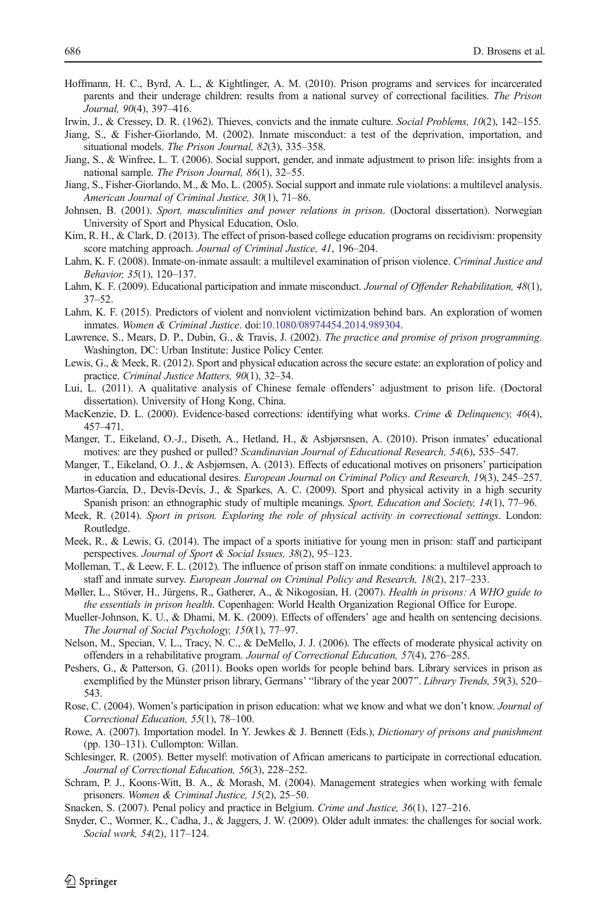- <span id="page-17-0"></span>Hoffmann, H. C., Byrd, A. L., & Kightlinger, A. M. (2010). Prison programs and services for incarcerated parents and their underage children: results from a national survey of correctional facilities. The Prison Journal, 90(4), 397–416.
- Irwin, J., & Cressey, D. R. (1962). Thieves, convicts and the inmate culture. Social Problems, 10(2), 142–155.
- Jiang, S., & Fisher-Giorlando, M. (2002). Inmate misconduct: a test of the deprivation, importation, and situational models. The Prison Journal, 82(3), 335–358.
- Jiang, S., & Winfree, L. T. (2006). Social support, gender, and inmate adjustment to prison life: insights from a national sample. The Prison Journal, 86(1), 32–55.
- Jiang, S., Fisher-Giorlando, M., & Mo, L. (2005). Social support and inmate rule violations: a multilevel analysis. American Journal of Criminal Justice, 30(1), 71–86.
- Johnsen, B. (2001). Sport, masculinities and power relations in prison. (Doctoral dissertation). Norwegian University of Sport and Physical Education, Oslo.
- Kim, R. H., & Clark, D. (2013). The effect of prison-based college education programs on recidivism: propensity score matching approach. Journal of Criminal Justice, 41, 196–204.
- Lahm, K. F. (2008). Inmate-on-inmate assault: a multilevel examination of prison violence. Criminal Justice and Behavior, 35(1), 120–137.
- Lahm, K. F. (2009). Educational participation and inmate misconduct. Journal of Offender Rehabilitation, 48(1), 37–52.
- Lahm, K. F. (2015). Predictors of violent and nonviolent victimization behind bars. An exploration of women inmates. Women & Criminal Justice. doi[:10.1080/08974454.2014.989304](http://dx.doi.org/10.1080/08974454.2014.989304).
- Lawrence, S., Mears, D. P., Dubin, G., & Travis, J. (2002). The practice and promise of prison programming. Washington, DC: Urban Institute: Justice Policy Center.
- Lewis, G., & Meek, R. (2012). Sport and physical education across the secure estate: an exploration of policy and practice. Criminal Justice Matters, 90(1), 32–34.
- Lui, L. (2011). A qualitative analysis of Chinese female offenders' adjustment to prison life. (Doctoral dissertation). University of Hong Kong, China.
- MacKenzie, D. L. (2000). Evidence-based corrections: identifying what works. Crime & Delinquency, 46(4), 457–471.
- Manger, T., Eikeland, O.-J., Diseth, A., Hetland, H., & Asbjørsnsen, A. (2010). Prison inmates' educational motives: are they pushed or pulled? Scandinavian Journal of Educational Research, 54(6), 535–547.
- Manger, T., Eikeland, O. J., & Asbjørnsen, A. (2013). Effects of educational motives on prisoners' participation in education and educational desires. European Journal on Criminal Policy and Research, 19(3), 245–257.
- Martos-García, D., Devís-Devís, J., & Sparkes, A. C. (2009). Sport and physical activity in a high security Spanish prison: an ethnographic study of multiple meanings. Sport, Education and Society, 14(1), 77–96.
- Meek, R. (2014). Sport in prison. Exploring the role of physical activity in correctional settings. London: Routledge.
- Meek, R., & Lewis, G. (2014). The impact of a sports initiative for young men in prison: staff and participant perspectives. Journal of Sport & Social Issues, 38(2), 95–123.
- Molleman, T., & Leew, F. L. (2012). The influence of prison staff on inmate conditions: a multilevel approach to staff and inmate survey. European Journal on Criminal Policy and Research, 18(2), 217–233.
- Møller, L., Stöver, H., Jürgens, R., Gatherer, A., & Nikogosian, H. (2007). Health in prisons: A WHO guide to the essentials in prison health. Copenhagen: World Health Organization Regional Office for Europe.
- Mueller-Johnson, K. U., & Dhami, M. K. (2009). Effects of offenders' age and health on sentencing decisions. The Journal of Social Psychology, 150(1), 77–97.
- Nelson, M., Specian, V. L., Tracy, N. C., & DeMello, J. J. (2006). The effects of moderate physical activity on offenders in a rehabilitative program. Journal of Correctional Education, 57(4), 276–285.
- Peshers, G., & Patterson, G. (2011). Books open worlds for people behind bars. Library services in prison as exemplified by the Münster prison library, Germans' "library of the year 2007". Library Trends, 59(3), 520– 543.
- Rose, C. (2004). Women's participation in prison education: what we know and what we don't know. *Journal of* Correctional Education, 55(1), 78–100.
- Rowe, A. (2007). Importation model. In Y. Jewkes & J. Bennett (Eds.), *Dictionary of prisons and punishment* (pp. 130–131). Cullompton: Willan.
- Schlesinger, R. (2005). Better myself: motivation of African americans to participate in correctional education. Journal of Correctional Education, 56(3), 228–252.
- Schram, P. J., Koons-Witt, B. A., & Morash, M. (2004). Management strategies when working with female prisoners. Women & Criminal Justice, 15(2), 25–50.
- Snacken, S. (2007). Penal policy and practice in Belgium. Crime and Justice, 36(1), 127–216.
- Snyder, C., Wormer, K., Cadha, J., & Jaggers, J. W. (2009). Older adult inmates: the challenges for social work. Social work, 54(2), 117–124.